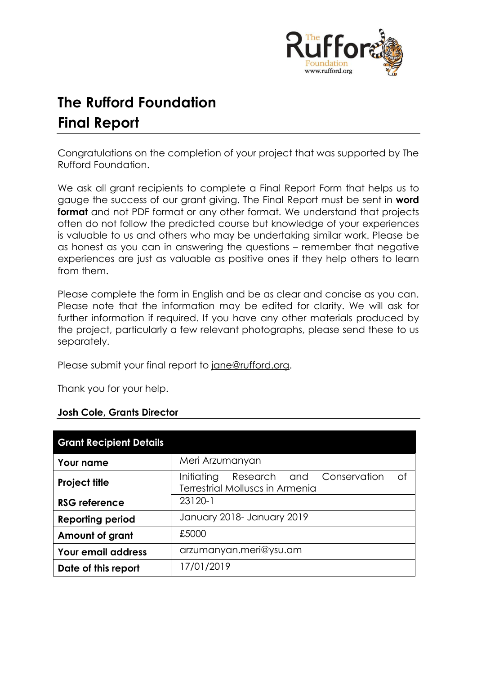

# **The Rufford Foundation Final Report**

Congratulations on the completion of your project that was supported by The Rufford Foundation.

We ask all grant recipients to complete a Final Report Form that helps us to gauge the success of our grant giving. The Final Report must be sent in **word format** and not PDF format or any other format. We understand that projects often do not follow the predicted course but knowledge of your experiences is valuable to us and others who may be undertaking similar work. Please be as honest as you can in answering the questions – remember that negative experiences are just as valuable as positive ones if they help others to learn from them.

Please complete the form in English and be as clear and concise as you can. Please note that the information may be edited for clarity. We will ask for further information if required. If you have any other materials produced by the project, particularly a few relevant photographs, please send these to us separately.

Please submit your final report to [jane@rufford.org.](mailto:jane@rufford.org)

Thank you for your help.

# **Josh Cole, Grants Director**

| <b>Grant Recipient Details</b> |                                                                                  |  |  |  |  |  |
|--------------------------------|----------------------------------------------------------------------------------|--|--|--|--|--|
| <b>Your name</b>               | Meri Arzumanyan                                                                  |  |  |  |  |  |
| <b>Project title</b>           | of<br>Initiating<br>Research and Conservation<br>Terrestrial Molluscs in Armenia |  |  |  |  |  |
| <b>RSG reference</b>           | 23120-1                                                                          |  |  |  |  |  |
| <b>Reporting period</b>        | January 2018- January 2019                                                       |  |  |  |  |  |
| Amount of grant                | £5000                                                                            |  |  |  |  |  |
| <b>Your email address</b>      | arzumanyan.meri@ysu.am                                                           |  |  |  |  |  |
| Date of this report            | 17/01/2019                                                                       |  |  |  |  |  |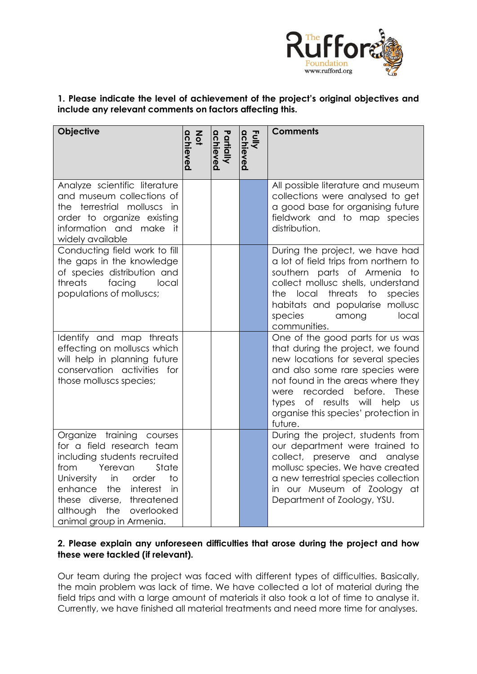

# **1. Please indicate the level of achievement of the project's original objectives and include any relevant comments on factors affecting this.**

| <b>Objective</b>                                                                                                                                                                                                                                                           | achieved<br><b>Not</b> | Partially<br>achieved | Fully<br>achieved | <b>Comments</b>                                                                                                                                                                                                                                                                                                         |
|----------------------------------------------------------------------------------------------------------------------------------------------------------------------------------------------------------------------------------------------------------------------------|------------------------|-----------------------|-------------------|-------------------------------------------------------------------------------------------------------------------------------------------------------------------------------------------------------------------------------------------------------------------------------------------------------------------------|
| Analyze scientific literature<br>and museum collections of<br>the terrestrial molluscs<br>in<br>order to organize existing<br>information and make it<br>widely available                                                                                                  |                        |                       |                   | All possible literature and museum<br>collections were analysed to get<br>a good base for organising future<br>fieldwork and to map species<br>distribution.                                                                                                                                                            |
| Conducting field work to fill<br>the gaps in the knowledge<br>of species distribution and<br>facing<br>threats<br>local<br>populations of molluscs;                                                                                                                        |                        |                       |                   | During the project, we have had<br>a lot of field trips from northern to<br>southern parts of Armenia<br>to<br>collect mollusc shells, understand<br>threats<br>local<br>to<br>the.<br>species<br>habitats and popularise mollusc<br>species<br>among<br>local<br>communities.                                          |
| Identify and map threats<br>effecting on molluscs which<br>will help in planning future<br>conservation activities for<br>those molluscs species;                                                                                                                          |                        |                       |                   | One of the good parts for us was<br>that during the project, we found<br>new locations for several species<br>and also some rare species were<br>not found in the areas where they<br>recorded<br>before.<br>These<br>were<br>types of results will help<br>$\cup$ s<br>organise this species' protection in<br>future. |
| Organize training courses<br>for a field research team<br>including students recruited<br>Yerevan<br>State<br>from<br>University<br>in<br>to<br>order<br>enhance the<br>interest<br>in<br>these diverse, threatened<br>although the overlooked<br>animal group in Armenia. |                        |                       |                   | During the project, students from<br>our department were trained to<br>collect, preserve and analyse<br>mollusc species. We have created<br>a new terrestrial species collection<br>in our Museum of Zoology at<br>Department of Zoology, YSU.                                                                          |

# **2. Please explain any unforeseen difficulties that arose during the project and how these were tackled (if relevant).**

Our team during the project was faced with different types of difficulties. Basically, the main problem was lack of time. We have collected a lot of material during the field trips and with a large amount of materials it also took a lot of time to analyse it. Currently, we have finished all material treatments and need more time for analyses.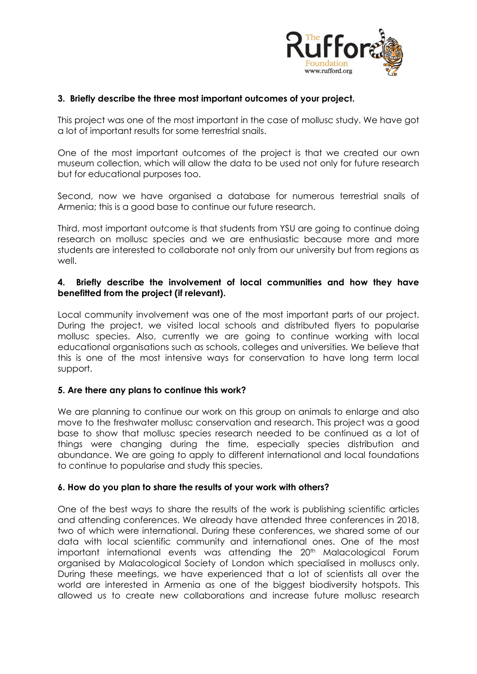

## **3. Briefly describe the three most important outcomes of your project.**

This project was one of the most important in the case of mollusc study. We have got a lot of important results for some terrestrial snails.

One of the most important outcomes of the project is that we created our own museum collection, which will allow the data to be used not only for future research but for educational purposes too.

Second, now we have organised a database for numerous terrestrial snails of Armenia; this is a good base to continue our future research.

Third, most important outcome is that students from YSU are going to continue doing research on mollusc species and we are enthusiastic because more and more students are interested to collaborate not only from our university but from regions as well.

## **4. Briefly describe the involvement of local communities and how they have benefitted from the project (if relevant).**

Local community involvement was one of the most important parts of our project. During the project, we visited local schools and distributed flyers to popularise mollusc species. Also, currently we are going to continue working with local educational organisations such as schools, colleges and universities. We believe that this is one of the most intensive ways for conservation to have long term local support.

#### **5. Are there any plans to continue this work?**

We are planning to continue our work on this group on animals to enlarge and also move to the freshwater mollusc conservation and research. This project was a good base to show that mollusc species research needed to be continued as a lot of things were changing during the time, especially species distribution and abundance. We are going to apply to different international and local foundations to continue to popularise and study this species.

#### **6. How do you plan to share the results of your work with others?**

One of the best ways to share the results of the work is publishing scientific articles and attending conferences. We already have attended three conferences in 2018, two of which were international. During these conferences, we shared some of our data with local scientific community and international ones. One of the most important international events was attending the 20<sup>th</sup> Malacological Forum organised by Malacological Society of London which specialised in molluscs only. During these meetings, we have experienced that a lot of scientists all over the world are interested in Armenia as one of the biggest biodiversity hotspots. This allowed us to create new collaborations and increase future mollusc research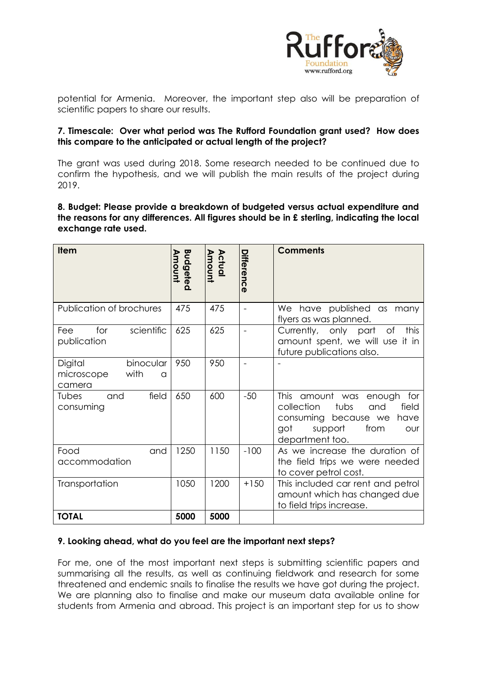

potential for Armenia. Moreover, the important step also will be preparation of scientific papers to share our results.

## **7. Timescale: Over what period was The Rufford Foundation grant used? How does this compare to the anticipated or actual length of the project?**

The grant was used during 2018. Some research needed to be continued due to confirm the hypothesis, and we will publish the main results of the project during 2019.

**8. Budget: Please provide a breakdown of budgeted versus actual expenditure and the reasons for any differences. All figures should be in £ sterling, indicating the local exchange rate used.** 

| <b>Item</b>                                                      | Budgeted<br>Amount | Actual<br>Amount | Differenc<br>$\mathbf 0$ | <b>Comments</b>                                                                                                                                                          |
|------------------------------------------------------------------|--------------------|------------------|--------------------------|--------------------------------------------------------------------------------------------------------------------------------------------------------------------------|
| Publication of brochures                                         | 475                | 475              | $\blacksquare$           | We have published as many<br>flyers as was planned.                                                                                                                      |
| for<br>scientific<br>Fee<br>publication                          | 625                | 625              |                          | this<br>Currently, only part<br>of<br>amount spent, we will use it in<br>future publications also.                                                                       |
| Digital<br>binocular<br>with<br>microscope<br>$\Omega$<br>camera | 950                | 950              |                          |                                                                                                                                                                          |
| field<br>Tubes<br>and<br>consuming                               | 650                | 600              | $-50$                    | <b>This</b><br>amount was<br>for<br>enough<br>and<br>collection<br>tubs<br>field<br>consuming because we have<br>from<br>got<br>support<br><b>OUr</b><br>department too. |
| Food<br>and<br>accommodation                                     | 1250               | 1150             | $-100$                   | As we increase the duration of<br>the field trips we were needed<br>to cover petrol cost.                                                                                |
| Transportation                                                   | 1050               | 1200             | $+150$                   | This included car rent and petrol<br>amount which has changed due<br>to field trips increase.                                                                            |
| <b>TOTAL</b>                                                     | 5000               | 5000             |                          |                                                                                                                                                                          |

#### **9. Looking ahead, what do you feel are the important next steps?**

For me, one of the most important next steps is submitting scientific papers and summarising all the results, as well as continuing fieldwork and research for some threatened and endemic snails to finalise the results we have got during the project. We are planning also to finalise and make our museum data available online for students from Armenia and abroad. This project is an important step for us to show